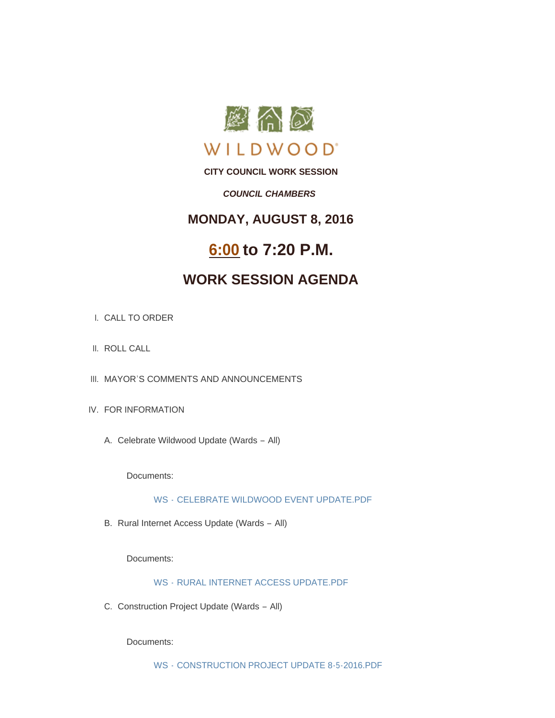

**CITY COUNCIL WORK SESSION**

### *COUNCIL CHAMBERS*

### **MONDAY, AUGUST 8, 2016**

# **6:00 to 7:20 P.M.**

## **WORK SESSION AGENDA**

- CALL TO ORDER I.
- II. ROLL CALL
- III. MAYOR'S COMMENTS AND ANNOUNCEMENTS
- IV. FOR INFORMATION
	- A. Celebrate Wildwood Update (Wards All)

Documents:

WS - [CELEBRATE WILDWOOD EVENT UPDATE.PDF](http://mo-wildwood.civicplus.com/AgendaCenter/ViewFile/Item/7792?fileID=11499)

B. Rural Internet Access Update (Wards - All)

Documents:

WS - [RURAL INTERNET ACCESS UPDATE.PDF](http://mo-wildwood.civicplus.com/AgendaCenter/ViewFile/Item/7793?fileID=11500)

C. Construction Project Update (Wards - All)

Documents:

WS - [CONSTRUCTION PROJECT UPDATE 8-5-2016.PDF](http://mo-wildwood.civicplus.com/AgendaCenter/ViewFile/Item/7794?fileID=11502)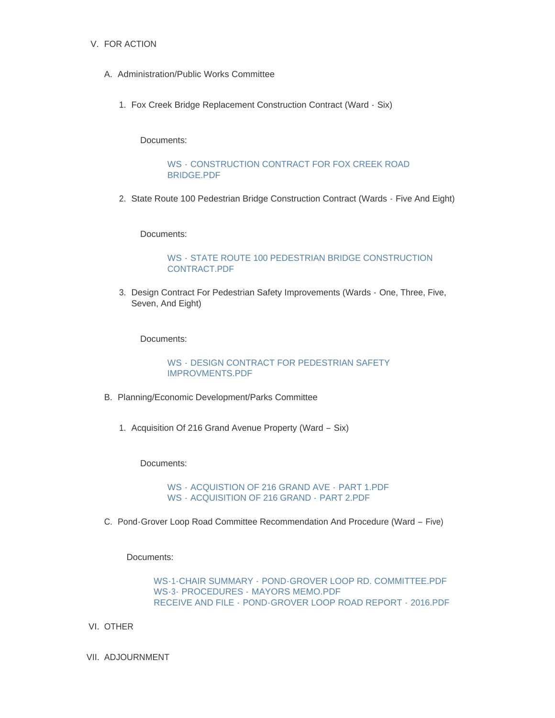### V. FOR ACTION

- A. Administration/Public Works Committee
	- Fox Creek Bridge Replacement Construction Contract (Ward Six) 1.

Documents:

#### WS - [CONSTRUCTION CONTRACT FOR FOX CREEK ROAD](http://mo-wildwood.civicplus.com/AgendaCenter/ViewFile/Item/7784?fileID=11493)  BRIDGE.PDF

2. State Route 100 Pedestrian Bridge Construction Contract (Wards - Five And Eight)

Documents:

### WS - [STATE ROUTE 100 PEDESTRIAN BRIDGE CONSTRUCTION](http://mo-wildwood.civicplus.com/AgendaCenter/ViewFile/Item/7785?fileID=11494)  CONTRACT.PDF

3. Design Contract For Pedestrian Safety Improvements (Wards - One, Three, Five, Seven, And Eight)

Documents:

WS - [DESIGN CONTRACT FOR PEDESTRIAN SAFETY](http://mo-wildwood.civicplus.com/AgendaCenter/ViewFile/Item/7786?fileID=11495)  IMPROVMENTS.PDF

- B. Planning/Economic Development/Parks Committee
	- 1. Acquisition Of 216 Grand Avenue Property (Ward Six)

Documents:

WS - [ACQUISTION OF 216 GRAND AVE -](http://mo-wildwood.civicplus.com/AgendaCenter/ViewFile/Item/7789?fileID=11497) PART 1.PDF WS - [ACQUISITION OF 216 GRAND -](http://mo-wildwood.civicplus.com/AgendaCenter/ViewFile/Item/7789?fileID=11498) PART 2.PDF

C. Pond-Grover Loop Road Committee Recommendation And Procedure (Ward - Five)

Documents:

WS-1-CHAIR SUMMARY - [POND-GROVER LOOP RD. COMMITTEE.PDF](http://mo-wildwood.civicplus.com/AgendaCenter/ViewFile/Item/7787?fileID=11574) WS-3- PROCEDURES - [MAYORS MEMO.PDF](http://mo-wildwood.civicplus.com/AgendaCenter/ViewFile/Item/7787?fileID=11576) RECEIVE AND FILE - [POND-GROVER LOOP ROAD REPORT -](http://mo-wildwood.civicplus.com/AgendaCenter/ViewFile/Item/7787?fileID=11589) 2016.PDF

- VI. OTHER
- VII. ADJOURNMENT